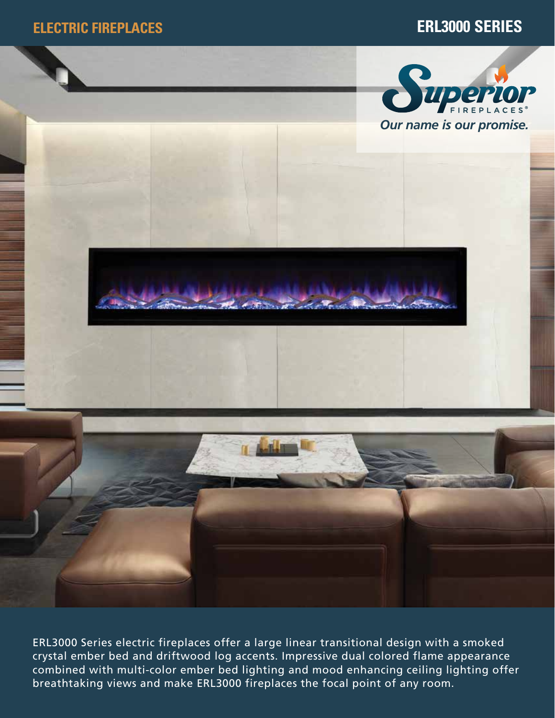

ERL3000 Series electric fireplaces offer a large linear transitional design with a smoked crystal ember bed and driftwood log accents. Impressive dual colored flame appearance combined with multi-color ember bed lighting and mood enhancing ceiling lighting offer breathtaking views and make ERL3000 fireplaces the focal point of any room.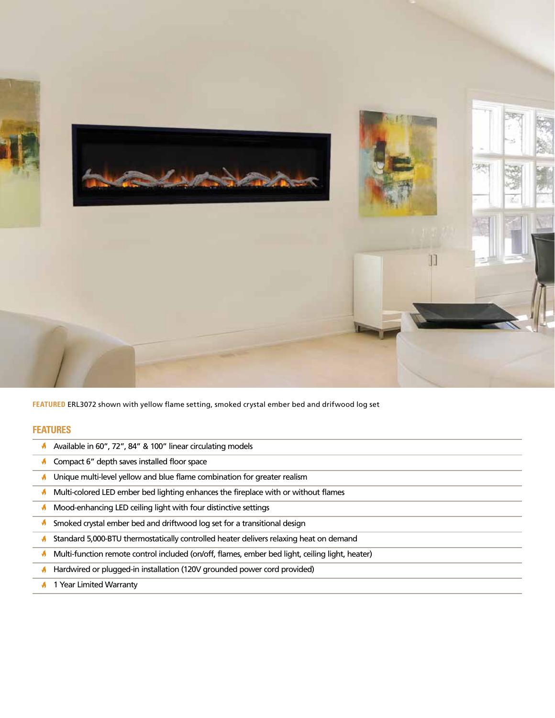

**FEATURED** ERL3072 shown with yellow flame setting, smoked crystal ember bed and drifwood log set

## **FEATURES**

- Available in 60", 72", 84" & 100" linear circulating models
- **Compact 6" depth saves installed floor space**
- $\blacklozenge$  Unique multi-level yellow and blue flame combination for greater realism
- $\blacklozenge$  Multi-colored LED ember bed lighting enhances the fireplace with or without flames
- **M** Mood-enhancing LED ceiling light with four distinctive settings
- **A** Smoked crystal ember bed and driftwood log set for a transitional design
- Standard 5,000-BTU thermostatically controlled heater delivers relaxing heat on demand
- Multi-function remote control included (on/off, flames, ember bed light, ceiling light, heater)
- **A** Hardwired or plugged-in installation (120V grounded power cord provided)
- **1 Year Limited Warranty**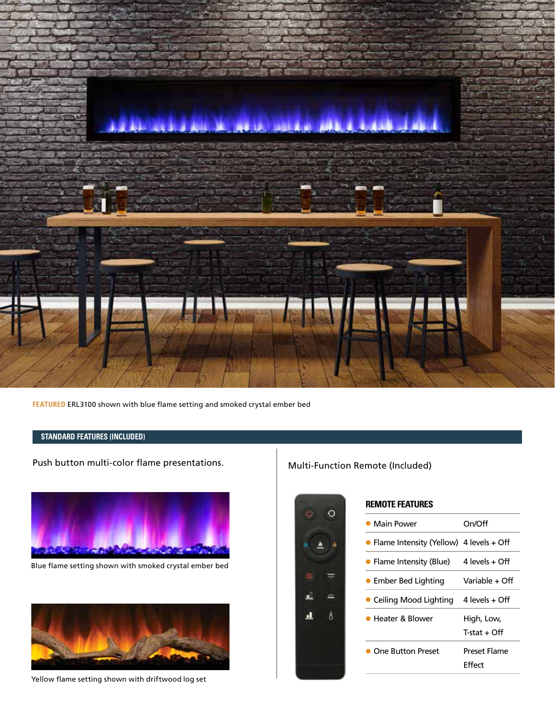

**FEATURED** ERL3100 shown with blue flame setting and smoked crystal ember bed

## **STANDARD FEATURES (INCLUDED)**

Push button multi-color flame presentations. Multi-Function Remote (Included)



Blue flame setting shown with smoked crystal ember bed



Yellow flame setting shown with driftwood log set



| <b>REMOTE FEATURES</b> |  |
|------------------------|--|
|------------------------|--|

| $\bullet$ Main Power                      | On/Off         |
|-------------------------------------------|----------------|
| • Flame Intensity (Yellow) 4 levels + Off |                |
| • Flame Intensity (Blue)                  | 4 levels + Off |
| • Ember Bed Lighting                      | Variable + Off |
| • Ceiling Mood Lighting                   | 4 levels + Off |
| <b>Heater &amp; Blower</b>                | High, Low,     |
|                                           | T-stat + Off   |
| <b>One Button Preset</b>                  | Preset Flame   |
|                                           | Effect         |